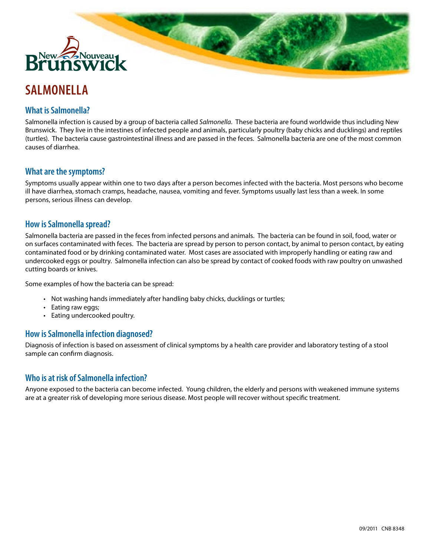

# **SALMONELLA**

## **What is Salmonella?**

Salmonella infection is caused by a group of bacteria called *Salmonella*. These bacteria are found worldwide thus including New Brunswick. They live in the intestines of infected people and animals, particularly poultry (baby chicks and ducklings) and reptiles (turtles). The bacteria cause gastrointestinal illness and are passed in the feces. Salmonella bacteria are one of the most common causes of diarrhea.

**Barry** 

#### **What are the symptoms?**

Symptoms usually appear within one to two days after a person becomes infected with the bacteria. Most persons who become ill have diarrhea, stomach cramps, headache, nausea, vomiting and fever. Symptoms usually last less than a week. In some persons, serious illness can develop.

#### **How is Salmonella spread?**

Salmonella bacteria are passed in the feces from infected persons and animals. The bacteria can be found in soil, food, water or on surfaces contaminated with feces. The bacteria are spread by person to person contact, by animal to person contact, by eating contaminated food or by drinking contaminated water. Most cases are associated with improperly handling or eating raw and undercooked eggs or poultry. Salmonella infection can also be spread by contact of cooked foods with raw poultry on unwashed cutting boards or knives.

Some examples of how the bacteria can be spread:

- • Not washing hands immediately after handling baby chicks, ducklings or turtles;
- Eating raw eggs;
- Eating undercooked poultry.

#### **How is Salmonella infection diagnosed?**

Diagnosis of infection is based on assessment of clinical symptoms by a health care provider and laboratory testing of a stool sample can confirm diagnosis.

#### **Who is at risk of Salmonella infection?**

Anyone exposed to the bacteria can become infected. Young children, the elderly and persons with weakened immune systems are at a greater risk of developing more serious disease. Most people will recover without specific treatment.